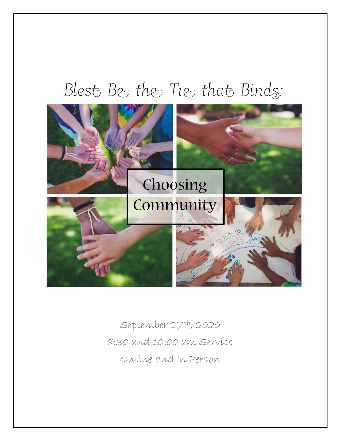# Blest Be the Tie that Binds:



September 27th, 2020 8:30 and 10:00 am Service Online and In Person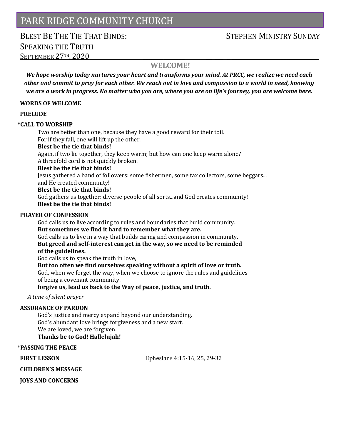# PARK RIDGE COMMUNITY CHURCH

# BLEST BE THE THE THAT BINDS: STEPHEN MINISTRY SUNDAY SPEAKING THE TRUTH SEPTEMBER 27TH, 2020

### **WELCOME!**

*We hope worship today nurtures your heart and transforms your mind. At PRCC, we realize we need each other and commit to pray for each other. We reach out in love and compassion to a world in need, knowing we are a work in progress. No matter who you are, where you are on life's journey, you are welcome here.*

#### **WORDS OF WELCOME**

#### **PRELUDE**

#### **\*CALL TO WORSHIP**

Two are better than one, because they have a good reward for their toil. For if they fall, one will lift up the other.

#### **Blest be the tie that binds!**

Again, if two lie together, they keep warm; but how can one keep warm alone? A threefold cord is not quickly broken.

#### **Blest be the tie that binds!**

Jesus gathered a band of followers: some fishermen, some tax collectors, some beggars...

## and He created community!

### **Blest be the tie that binds!**

God gathers us together: diverse people of all sorts...and God creates community! **Blest be the tie that binds!**

#### **PRAYER OF CONFESSION**

God calls us to live according to rules and boundaries that build community. **But sometimes we find it hard to remember what they are.** God calls us to live in a way that builds caring and compassion in community.

**But greed and self-interest can get in the way, so we need to be reminded of the guidelines.**

God calls us to speak the truth in love,

#### **But too often we find ourselves speaking without a spirit of love or truth.**

God, when we forget the way, when we choose to ignore the rules and guidelines of being a covenant community.

**forgive us, lead us back to the Way of peace, justice, and truth.**

*A time of silent prayer*

#### **ASSURANCE OF PARDON**

God's justice and mercy expand beyond our understanding. God's abundant love brings forgiveness and a new start. We are loved, we are forgiven. **Thanks be to God! Hallelujah!**

#### **\*PASSING THE PEACE**

**FIRST LESSON Ephesians 4:15-16, 25, 29-32** 

**CHILDREN'S MESSAGE** 

**JOYS AND CONCERNS**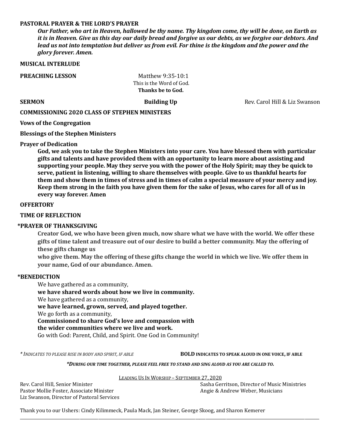#### **PASTORAL PRAYER & THE LORD'S PRAYER**

*Our Father, who art in Heaven, hallowed be thy name. Thy kingdom come, thy will be done, on Earth as it is in Heaven. Give us this day our daily bread and forgive us our debts, as we forgive our debtors. And lead us not into temptation but deliver us from evil. For thine is the kingdom and the power and the glory forever. Amen.*

#### **MUSICAL INTERLUDE**

**PREACHING LESSON Matthew 9:35-10:1** 

 This is the Word of God.  **Thanks be to God.**

**SERMON Building Up Building Up** Rev. Carol Hill & Liz Swanson

#### **COMMISSIONING 2020 CLASS OF STEPHEN MINISTERS**

**Vows of the Congregation**

**Blessings of the Stephen Ministers**

#### **Prayer of Dedication**

**God, we ask you to take the Stephen Ministers into your care. You have blessed them with particular gifts and talents and have provided them with an opportunity to learn more about assisting and supporting your people. May they serve you with the power of the Holy Spirit; may they be quick to serve, patient in listening, willing to share themselves with people. Give to us thankful hearts for them and show them in times of stress and in times of calm a special measure of your mercy and joy. Keep them strong in the faith you have given them for the sake of Jesus, who cares for all of us in every way forever. Amen**

#### **OFFERTORY**

#### **TIME OF REFLECTION**

#### **\*PRAYER OF THANKSGIVING**

**Creator God, we who have been given much, now share what we have with the world. We offer these gifts of time talent and treasure out of our desire to build a better community. May the offering of these gifts change us**

**who give them. May the offering of these gifts change the world in which we live. We offer them in your name, God of our abundance. Amen.**

#### **\*BENEDICTION**

We have gathered as a community,

**we have shared words about how we live in community.** We have gathered as a community, **we have learned, grown, served, and played together.** We go forth as a community, **Commissioned to share God's love and compassion with the wider communities where we live and work.**

Go with God: Parent, Child, and Spirit. One God in Community!

*\* INDICATES TO PLEASE RISE IN BODY AND SPIRIT, IF ABLE* **BOLD INDICATES TO SPEAK ALOUD IN ONE VOICE, IF ABLE**

*\*DURING OUR TIME TOGETHER, PLEASE FEEL FREE TO STAND AND SING ALOUD AS YOU ARE CALLED TO.*

LEADING US IN WORSHIP – SEPTEMBER 27, 2020

\_\_\_\_\_\_\_\_\_\_\_\_\_\_\_\_\_\_\_\_\_\_\_\_\_\_\_\_\_\_\_\_\_\_\_\_\_\_\_\_\_\_\_\_\_\_\_\_\_\_\_\_\_\_\_\_\_\_\_\_\_\_\_\_\_\_\_\_\_\_\_\_\_\_\_\_\_\_\_\_\_\_\_\_\_\_\_\_\_\_\_\_\_\_\_\_\_\_\_\_\_\_\_\_\_\_\_\_\_\_\_\_\_\_\_\_\_\_\_\_\_\_\_\_\_\_\_\_\_\_\_\_\_\_\_\_\_\_\_\_\_\_\_\_\_

Pastor Mollie Foster, Associate Minister Angie & Andrew Weber, Musicians Liz Swanson, Director of Pastoral Services

Rev. Carol Hill, Senior Minister Sasha Gerritson, Director of Music Ministries

Thank you to our Ushers: Cindy Kilimmeck, Paula Mack, Jan Steiner, George Skoog, and Sharon Kemerer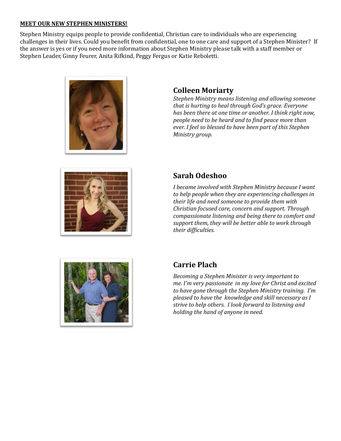#### **MEET OUR NEW STEPHEN MINISTERS!**

Stephen Ministry equips people to provide confidential, Christian care to individuals who are experiencing challenges in their lives. Could you benefit from confidential, one to one care and support of a Stephen Minister? If the answer is yes or if you need more information about Stephen Ministry please talk with a staff member or Stephen Leader, Ginny Feurer, Anita Rifkind, Peggy Fergus or Katie Reboletti.





*Stephen Ministry means listening and allowing someone that is hurting to heal through God's grace. Everyone has been there at one time or another. I think right now, people need to be heard and to find peace more than ever. I feel so blessed to have been part of this Stephen Ministry group.*



# **Sarah Odeshoo**

*I became involved with Stephen Ministry because I want to help people when they are experiencing challenges in their life and need someone to provide them with Christian focused care, concern and support. Through compassionate listening and being there to comfort and support them, they will be better able to work through their difficulties.*



# **Carrie Plach**

*Becoming a Stephen Minister is very important to me. I'm very passionate in my love for Christ and excited to have gone through the Stephen Ministry training. I'm pleased to have the knowledge and skill necessary as I strive to help others. I look forward to listening and holding the hand of anyone in need.*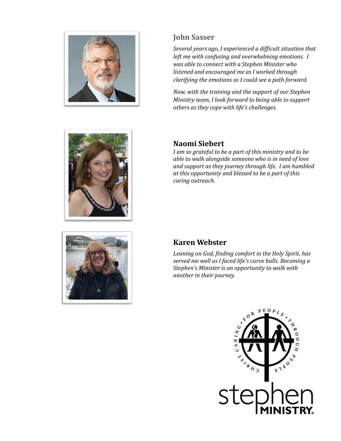

# **John Sasser**

*Several years ago, I experienced a difficult situation that left me with confusing and overwhelming emotions. I was able to connect with a Stephen Minister who listened and encouraged me as I worked through clarifying the emotions so I could see a path forward.*

*Now, with the training and the support of our Stephen Ministry team, I look forward to being able to support others as they cope with life's challenges.*





# **Naomi Siebert**

*I am so grateful to be a part of this ministry and to be able to walk alongside someone who is in need of love and support as they journey through life. I am humbled at this opportunity and blessed to be a part of this caring outreach.*

## **Karen Webster**

*Leaning on God, finding comfort in the Holy Spirit, has served me well as I faced life's curve balls. Becoming a Stephen's Minister is an opportunity to walk with another in their journey.*

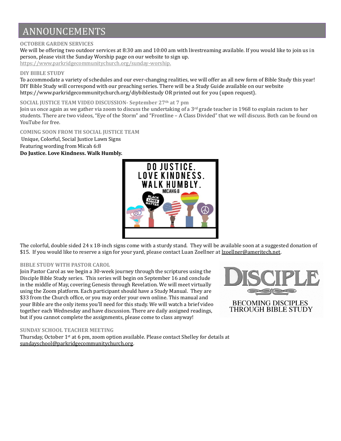# ANNOUNCEMENTS

#### **OCTOBER GARDEN SERVICES**

We will be offering two outdoor services at 8:30 am and 10:00 am with livestreaming available. If you would like to join us in person, please visit the Sunday Worship page on our website to sign up.

[https://www.parkridgecommunitychurch.org/sunday-worship.](about:blank) 

#### **DIY BIBLE STUDY**

To accommodate a variety of schedules and our ever-changing realities, we will offer an all new form of Bible Study this year! DIY Bible Study will correspond with our preaching series. There will be a Study Guide available on our website https://www.parkridgecommunitychurch.org/diybiblestudy OR printed out for you (upon request).

#### **SOCIAL JUSTICE TEAM VIDEO DISCUSSION- September 27th at 7 pm**

Join us once again as we gather via zoom to discuss the undertaking of a 3<sup>rd</sup> grade teacher in 1968 to explain racism to her students. There are two videos, "Eye of the Storm" and "Frontline – A Class Divided" that we will discuss. Both can be found on YouTube for free.

#### **COMING SOON FROM TH SOCIAL JUSTICE TEAM**

Unique, Colorful, Social Justice Lawn Signs Featuring wording from Micah 6:8

### **Do Justice. Love Kindness. Walk Humbly.**



The colorful, double sided 24 x 18-inch signs come with a sturdy stand. They will be available soon at a suggested donation of \$15. If you would like to reserve a sign for your yard, please contact Luan Zoellner at [lzoellner@ameritech.net.](about:blank)

#### **BIBLE STUDY WITH PASTOR CAROL**

Join Pastor Carol as we begin a 30-week journey through the scriptures using the Disciple Bible Study series. This series will begin on September 16 and conclude in the middle of May, covering Genesis through Revelation. We will meet virtually using the Zoom platform. Each participant should have a Study Manual. They are \$33 from the Church office, or you may order your own online. This manual and your Bible are the only items you'll need for this study. We will watch a brief video together each Wednesday and have discussion. There are daily assigned readings, but if you cannot complete the assignments, please come to class anyway!



#### **SUNDAY SCHOOL TEACHER MEETING**

Thursday, October 1st at 6 pm, zoom option available. Please contact Shelley for details at [sundayschool@parkridgecommunitychurch.org.](mailto:sundayschool@parkridgecommunitychurch.org)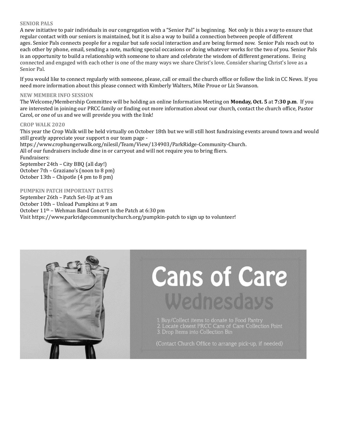#### **SENIOR PALS**

A new initiative to pair individuals in our congregation with a "Senior Pal" is beginning. Not only is this a way to ensure that regular contact with our seniors is maintained, but it is also a way to build a connection between people of different ages. Senior Pals connects people for a regular but safe social interaction and are being formed now. Senior Pals reach out to each other by phone, email, sending a note, marking special occasions or doing whatever works for the two of you. Senior Pals is an opportunity to build a relationship with someone to share and celebrate the wisdom of different generations. Being connected and engaged with each other is one of the many ways we share Christ's love. Consider sharing Christ's love as a Senior Pal.

If you would like to connect regularly with someone, please, call or email the church office or follow the link in CC News. If you need more information about this please connect with Kimberly Walters, Mike Proue or Liz Swanson.

#### **NEW MEMBER INFO SESSION**

The Welcome/Membership Committee will be holding an online Information Meeting on **Monday, Oct. 5** at **7:30 p.m**. If you are interested in joining our PRCC family or finding out more information about our church, contact the church office, Pastor Carol, or one of us and we will provide you with the link!

#### **CROP WALK 2020**

This year the Crop Walk will be held virtually on October 18th but we will still host fundraising events around town and would still greatly appreciate your support n our team page -

https://www.crophungerwalk.org/nilesil/Team/View/134903/ParkRidge-Community-Church. All of our fundraisers include dine in or carryout and will not require you to bring fliers. Fundraisers:

September 24th – City BBQ (all day!) October 7th – Graziano's (noon to 8 pm) October 13th – Chipotle (4 pm to 8 pm)

#### **PUMPKIN PATCH IMPORTANT DATES**

September 26th – Patch Set-Up at 9 am October 10th – Unload Pumpkins at 9 am October 11th – Wehman Band Concert in the Patch at 6:30 pm Visit https://www.parkridgecommunitychurch.org/pumpkin-patch to sign up to volunteer!



# **Cans of Care** Wednesdays

- 1. Buy/Collect items to donate to Food Pantry<br>2. Locate closest PRCC Cans of Care Collection Point<br>3. Drop Items into Collection Bin
- 

(Contact Church Office to arrange pick-up, if needed)